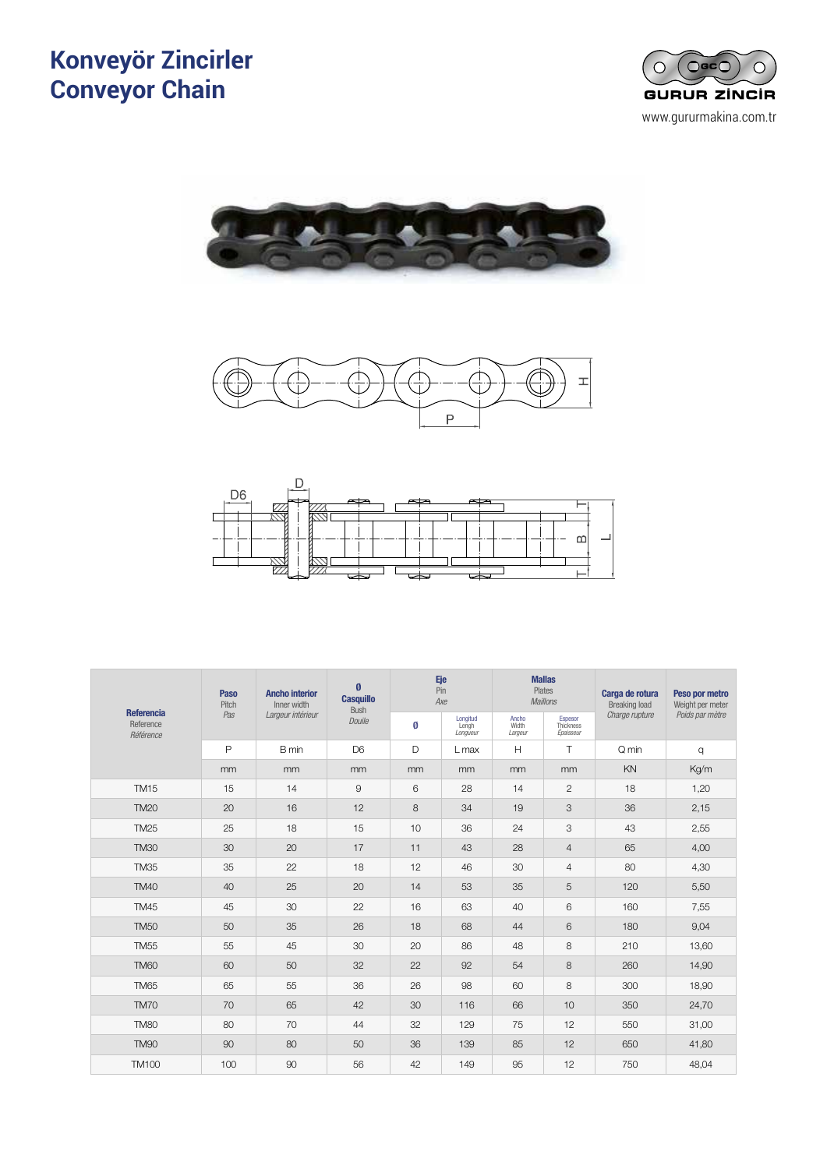#### **Konveyör Zincirler Conveyor Chain** CADENAS DE CADENAS DE CASAS DE CASAS DE CASAS DE CASAS DE CASAS DE CASAS DE CASAS DE CASAS DE CASAS DE CASAS D ivevor Z *Chaînes à douilles*









|                                             | <b>Paso</b><br>Pitch | <b>Ancho interior</b><br>Inner width | Ø<br><b>Casquillo</b><br><b>Bush</b> | Eje<br>Pin<br>Axe |                               | <b>Mallas</b>             | Plates<br><b>Maillons</b>         | Carga de rotura<br><b>Breaking load</b> | Peso por metro<br>Weight per meter |  |
|---------------------------------------------|----------------------|--------------------------------------|--------------------------------------|-------------------|-------------------------------|---------------------------|-----------------------------------|-----------------------------------------|------------------------------------|--|
| <b>Referencia</b><br>Reference<br>Référence | Pas                  | Largeur intérieur                    | Douile                               | Ø                 | Longitud<br>Lengh<br>Longueur | Ancho<br>Width<br>Largeur | Espesor<br>Thickness<br>Épaisseur | Charge rupture                          | Poids par mètre                    |  |
|                                             | $\mathsf{P}$         | B min                                | D <sub>6</sub>                       | D                 | $L$ max                       | H                         | T.                                | Q min                                   | q                                  |  |
|                                             | mm                   | mm                                   | mm                                   | mm                | mm                            | mm                        | mm                                | KN                                      | Kg/m                               |  |
| <b>TM15</b>                                 | 15                   | 14                                   | $\mathsf 9$                          | 6                 | 28                            | 14                        | $\mathbf{2}$                      | 18                                      | 1,20                               |  |
| <b>TM20</b>                                 | 20                   | 16                                   | 12                                   | 8                 | 34                            | 19                        | 3                                 | 36                                      | 2,15                               |  |
| <b>TM25</b>                                 | 25                   | 18                                   | 15                                   | 10                | 36                            | 24                        | 3                                 | 43                                      | 2,55                               |  |
| <b>TM30</b>                                 | 30                   | 20                                   | 17                                   | 11                | 43                            | 28                        | $\overline{4}$                    | 65                                      | 4,00                               |  |
| <b>TM35</b>                                 | 35                   | 22                                   | 18                                   | 12                | 46                            | 30                        | $\overline{4}$                    | 80                                      | 4,30                               |  |
| <b>TM40</b>                                 | 40                   | 25                                   | 20                                   | 14                | 53                            | 35                        | 5                                 | 120                                     | 5,50                               |  |
| <b>TM45</b>                                 | 45                   | 30                                   | 22                                   | 16                | 63                            | 40                        | 6                                 | 160                                     | 7,55                               |  |
| <b>TM50</b>                                 | 50                   | 35                                   | 26                                   | 18                | 68                            | 44                        | 6                                 | 180                                     | 9,04                               |  |
| <b>TM55</b>                                 | 55                   | 45                                   | 30                                   | 20                | 86                            | 48                        | 8                                 | 210                                     | 13,60                              |  |
| <b>TM60</b>                                 | 60                   | 50                                   | 32                                   | 22                | 92                            | 54                        | 8                                 | 260                                     | 14,90                              |  |
| <b>TM65</b>                                 | 65                   | 55                                   | 36                                   | 26                | 98                            | 60                        | 8                                 | 300                                     | 18,90                              |  |
| <b>TM70</b>                                 | 70                   | 65                                   | 42                                   | 30                | 116                           | 66                        | 10                                | 350                                     | 24,70                              |  |
| <b>TM80</b>                                 | 80                   | 70                                   | 44                                   | 32                | 129                           | 75                        | 12                                | 550                                     | 31,00                              |  |
| <b>TM90</b>                                 | 90                   | 80                                   | 50                                   | 36                | 139                           | 85                        | 12                                | 650                                     | 41,80                              |  |
| <b>TM100</b>                                | 100                  | 90                                   | 56                                   | 42                | 149                           | 95                        | 12                                | 750                                     | 48,04                              |  |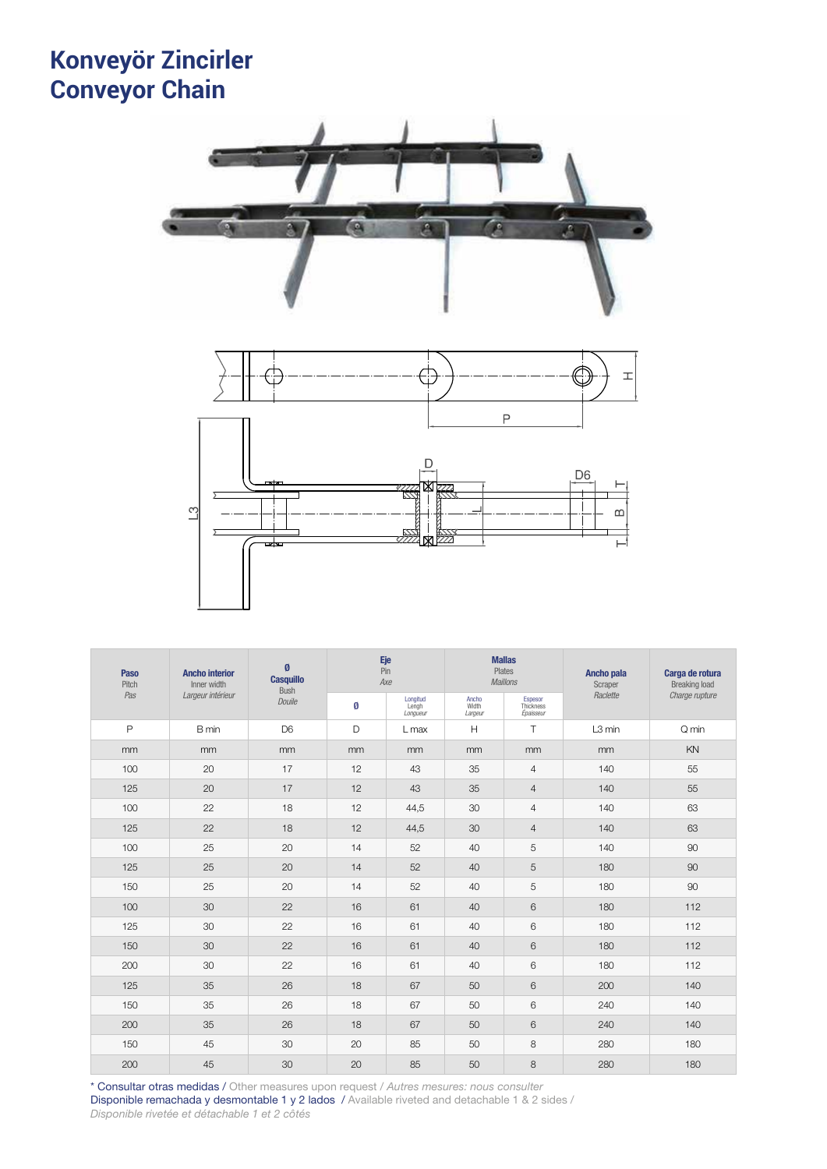## **Konveyör Zincirler Conveyor Chain** <sup>70</sup> CADENAS TIPO REDLER **Nevor Zir**



| <b>Ancho interior</b><br><b>Paso</b><br>Pitch<br>Inner width |                   | Ø<br><b>Casquillo</b><br>Bush |    | Eje<br>Pin<br>Axe             |                           | <b>Mallas</b><br>Plates<br><b>Maillons</b> | Ancho pala<br>Scraper | Carga de rotura<br><b>Breaking load</b> |  |
|--------------------------------------------------------------|-------------------|-------------------------------|----|-------------------------------|---------------------------|--------------------------------------------|-----------------------|-----------------------------------------|--|
| Pas                                                          | Largeur intérieur | Douile                        | Ø  | Longitud<br>Lengh<br>Longueur | Ancho<br>Width<br>Largeur | Espesor<br>Thickness<br>Épaisseur          | Raclette              | Charge rupture                          |  |
| $\mathsf{P}$                                                 | B min             | D <sub>6</sub>                | D  | L max                         | H                         | $\top$                                     | L3 min                | Q min                                   |  |
| m <sub>m</sub>                                               | mm                | mm                            | mm | mm                            | mm                        | mm                                         | mm                    | KN                                      |  |
| 100                                                          | 20                | 17                            | 12 | 43                            | 35                        | $\overline{4}$                             | 140                   | 55                                      |  |
| 125                                                          | 20                | 17                            | 12 | 43                            | 35                        | $\overline{4}$                             | 140                   | 55                                      |  |
| 100                                                          | 22                | 18                            | 12 | 44,5                          | 30                        | $\overline{4}$                             | 140                   | 63                                      |  |
| 125                                                          | 22                | 18                            | 12 | 44,5                          | 30                        | $\overline{4}$                             | 140                   | 63                                      |  |
| 100                                                          | 25                | 20                            | 14 | 52                            | 40                        | 5                                          | 140                   | 90                                      |  |
| 125                                                          | 25                | 20                            | 14 | 52                            | 40                        | 5                                          | 180                   | 90                                      |  |
| 150                                                          | 25                | 20                            | 14 | 52                            | 40                        | 5                                          | 180                   | 90                                      |  |
| 100                                                          | 30                | 22                            | 16 | 61                            | 40                        | 6                                          | 180                   | 112                                     |  |
| 125                                                          | 30                | 22                            | 16 | 61                            | 40                        | 6                                          | 180                   | 112                                     |  |
| 150                                                          | 30                | 22                            | 16 | 61                            | 40                        | 6                                          | 180                   | 112                                     |  |
| 200                                                          | 30                | 22                            | 16 | 61                            | 40                        | 6                                          | 180                   | 112                                     |  |
| 125                                                          | 35                | 26                            | 18 | 67                            | 50                        | 6                                          | 200                   | 140                                     |  |
| 150                                                          | 35                | 26                            | 18 | 67                            | 50                        | 6                                          | 240                   | 140                                     |  |
| 200                                                          | 35                | 26                            | 18 | 67                            | 50                        | 6                                          | 240                   | 140                                     |  |
| 150                                                          | 45                | 30                            | 20 | 85                            | 50                        | 8                                          | 280                   | 180                                     |  |
| 200                                                          | 45                | 30                            | 20 | 85                            | 50                        | 8                                          | 280                   | 180                                     |  |

\* Consultar otras medidas / Other measures upon request / *Autres mesures: nous consulter* Disponible remachada y desmontable 1 y 2 lados / Available riveted and detachable 1 & 2 sides / *Disponible rivetée et détachable 1 et 2 côtés*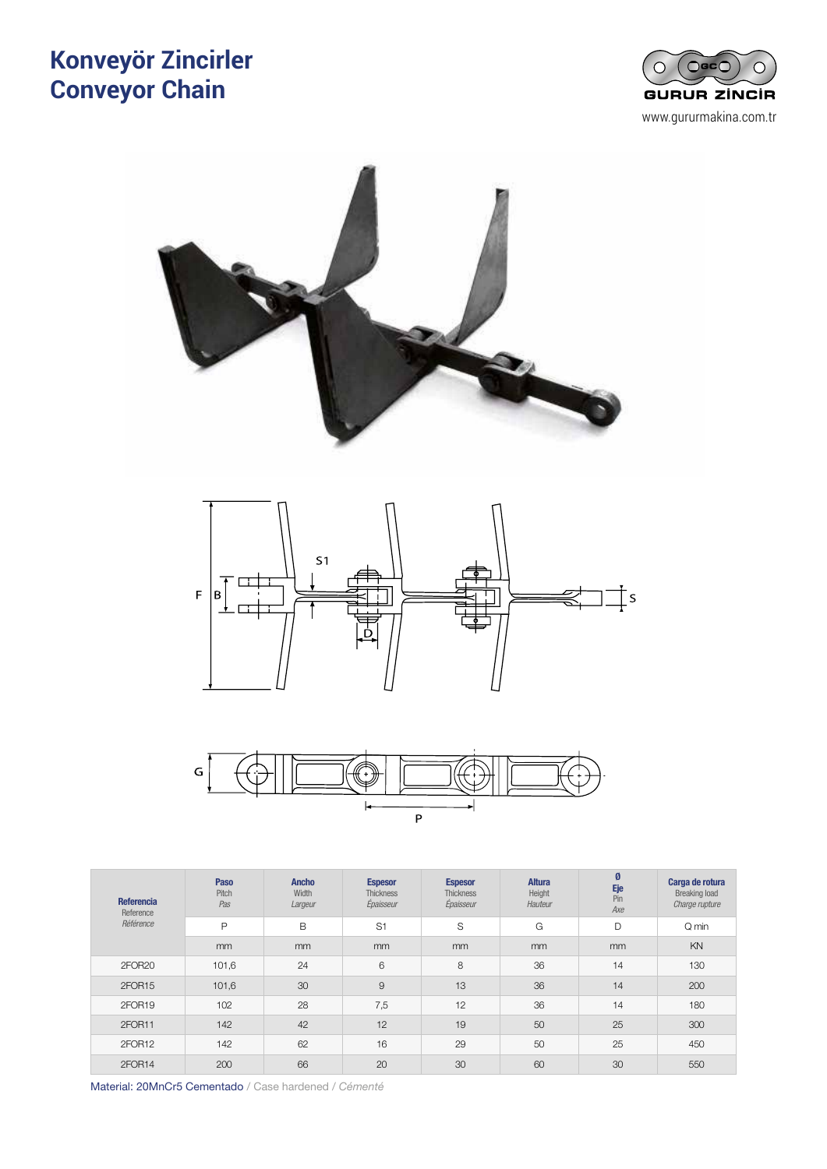## **Konveyör Zincirler Conveyor Chain** CADENAS DE ESLABONES FORJADOS <sup>71</sup> ivevor Zinci









| <b>Referencia</b><br>Reference | Paso<br>Pitch<br>Pas | <b>Ancho</b><br>Width<br>Largeur | <b>Espesor</b><br><b>Thickness</b><br>Épaisseur | <b>Espesor</b><br><b>Thickness</b><br>Épaisseur | <b>Altura</b><br>Height<br>Hauteur | Ø<br>Eje<br>Pin<br>Axe | Carga de rotura<br><b>Breaking load</b><br>Charge rupture |
|--------------------------------|----------------------|----------------------------------|-------------------------------------------------|-------------------------------------------------|------------------------------------|------------------------|-----------------------------------------------------------|
| Référence                      | $\mathsf{P}$         | B                                | S <sub>1</sub>                                  | S                                               | G                                  | D                      | Q min                                                     |
|                                | mm                   | mm                               | <sub>mm</sub>                                   | mm                                              | mm                                 | mm                     | KN                                                        |
| 2FOR <sub>20</sub>             | 101,6                | 24                               | 6                                               | 8                                               | 36                                 | 14                     | 130                                                       |
| 2FOR15                         | 101,6                | 30                               | 9                                               | 13                                              | 36                                 | 14                     | 200                                                       |
| 2FOR19                         | 102                  | 28                               | 7,5                                             | 12                                              | 36                                 | 14                     | 180                                                       |
| 2FOR11                         | 142                  | 42                               | 12                                              | 19                                              | 50                                 | 25                     | 300                                                       |
| 2FOR12                         | 142                  | 62                               | 16                                              | 29                                              | 50                                 | 25                     | 450                                                       |
| 2FOR14                         | 200                  | 66                               | 20                                              | 30                                              | 60                                 | 30                     | 550                                                       |

Material: 20MnCr5 Cementado / Case hardened / *Cémenté*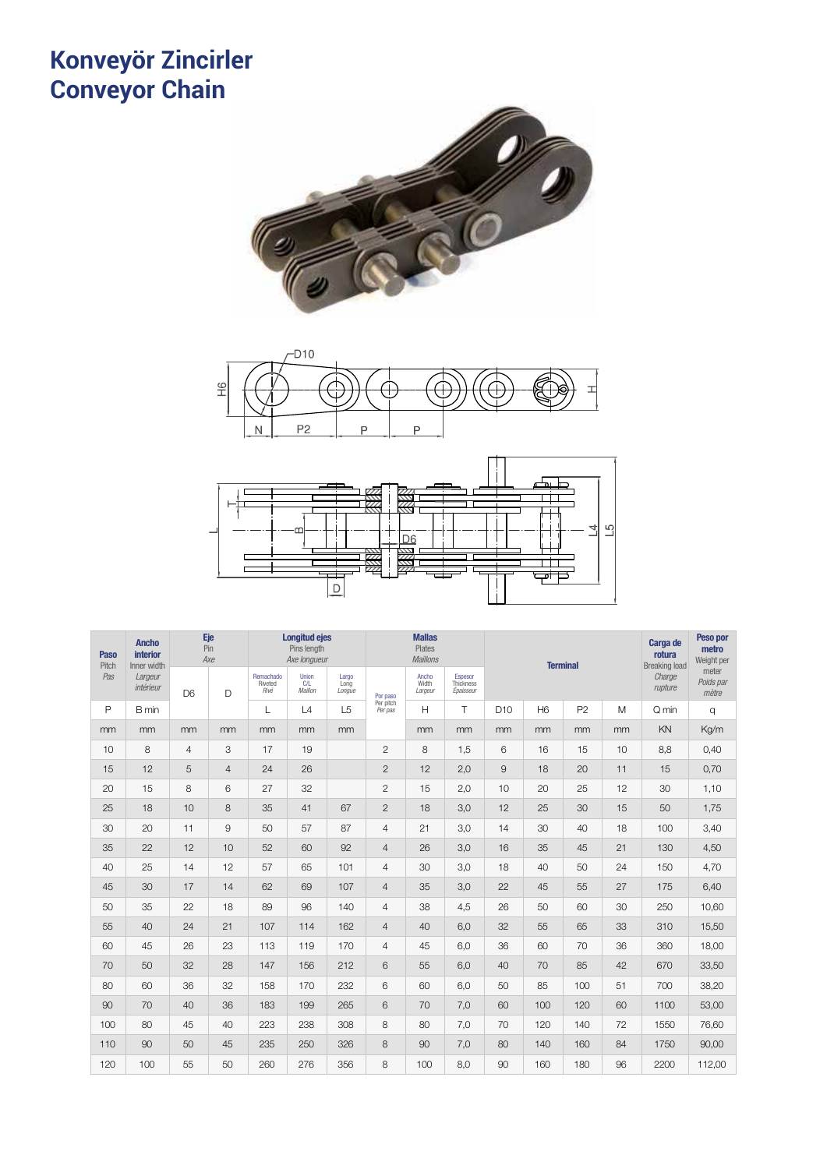#### **Konveyör Zincirler Conveyor Chain** <sup>72</sup> CADENAS GALLE ivevor **b** *Chaînes galle*







| Paso<br>Pitch | <b>Ancho</b><br>interior<br>Inner width | Eje<br>Pin     | Axe            |                              | <b>Longitud ejes</b><br>Pins length<br>Axe longueur |                         |                      | <b>Mallas</b><br><b>Plates</b><br><b>Maillons</b> |                                   |                 | <b>Terminal</b> |                | Carga de<br>rotura<br><b>Breaking load</b> | Peso por<br>metro<br>Weight per |                             |
|---------------|-----------------------------------------|----------------|----------------|------------------------------|-----------------------------------------------------|-------------------------|----------------------|---------------------------------------------------|-----------------------------------|-----------------|-----------------|----------------|--------------------------------------------|---------------------------------|-----------------------------|
| Pas           | Largeur<br>intérieur                    | D <sub>6</sub> | D              | Remachado<br>Riveted<br>Rivé | <b>Union</b><br>C/L<br>Maillon                      | Largo<br>Long<br>Longue | Por paso             | Ancho<br>Width<br>Largeur                         | Espesor<br>Thickness<br>Épaisseur |                 |                 |                |                                            | Charge<br>rupture               | meter<br>Poids par<br>mètre |
| P             | B min                                   |                |                | L                            | L4                                                  | L <sub>5</sub>          | Per pitch<br>Per pas | H                                                 | T                                 | D <sub>10</sub> | H <sub>6</sub>  | P <sub>2</sub> | M                                          | Q min                           | q                           |
| mm            | mm                                      | mm             | mm             | mm                           | mm                                                  | mm                      |                      | mm                                                | mm                                | mm              | mm              | mm             | mm                                         | KN                              | Kg/m                        |
| 10            | 8                                       | $\overline{4}$ | 3              | 17                           | 19                                                  |                         | $\overline{c}$       | 8                                                 | 1,5                               | 6               | 16              | 15             | 10                                         | 8,8                             | 0,40                        |
| 15            | 12                                      | 5              | $\overline{4}$ | 24                           | 26                                                  |                         | $\overline{c}$       | 12                                                | 2,0                               | 9               | 18              | 20             | 11                                         | 15                              | 0,70                        |
| 20            | 15                                      | 8              | 6              | 27                           | 32                                                  |                         | $\mathbf{2}$         | 15                                                | 2,0                               | 10              | 20              | 25             | 12                                         | 30                              | 1,10                        |
| 25            | 18                                      | 10             | 8              | 35                           | 41                                                  | 67                      | $\mathbf{2}$         | 18                                                | 3,0                               | 12              | 25              | 30             | 15                                         | 50                              | 1,75                        |
| 30            | 20                                      | 11             | 9              | 50                           | 57                                                  | 87                      | 4                    | 21                                                | 3,0                               | 14              | 30              | 40             | 18                                         | 100                             | 3,40                        |
| 35            | 22                                      | 12             | 10             | 52                           | 60                                                  | 92                      | 4                    | 26                                                | 3,0                               | 16              | 35              | 45             | 21                                         | 130                             | 4,50                        |
| 40            | 25                                      | 14             | 12             | 57                           | 65                                                  | 101                     | $\overline{4}$       | 30                                                | 3,0                               | 18              | 40              | 50             | 24                                         | 150                             | 4,70                        |
| 45            | 30                                      | 17             | 14             | 62                           | 69                                                  | 107                     | 4                    | 35                                                | 3,0                               | 22              | 45              | 55             | 27                                         | 175                             | 6,40                        |
| 50            | 35                                      | 22             | 18             | 89                           | 96                                                  | 140                     | 4                    | 38                                                | 4,5                               | 26              | 50              | 60             | 30                                         | 250                             | 10,60                       |
| 55            | 40                                      | 24             | 21             | 107                          | 114                                                 | 162                     | 4                    | 40                                                | 6,0                               | 32              | 55              | 65             | 33                                         | 310                             | 15,50                       |
| 60            | 45                                      | 26             | 23             | 113                          | 119                                                 | 170                     | 4                    | 45                                                | 6,0                               | 36              | 60              | 70             | 36                                         | 360                             | 18,00                       |
| 70            | 50                                      | 32             | 28             | 147                          | 156                                                 | 212                     | 6                    | 55                                                | 6.0                               | 40              | 70              | 85             | 42                                         | 670                             | 33,50                       |
| 80            | 60                                      | 36             | 32             | 158                          | 170                                                 | 232                     | 6                    | 60                                                | 6,0                               | 50              | 85              | 100            | 51                                         | 700                             | 38,20                       |
| 90            | 70                                      | 40             | 36             | 183                          | 199                                                 | 265                     | 6                    | 70                                                | 7,0                               | 60              | 100             | 120            | 60                                         | 1100                            | 53,00                       |
| 100           | 80                                      | 45             | 40             | 223                          | 238                                                 | 308                     | 8                    | 80                                                | 7,0                               | 70              | 120             | 140            | 72                                         | 1550                            | 76,60                       |
| 110           | 90                                      | 50             | 45             | 235                          | 250                                                 | 326                     | 8                    | 90                                                | 7,0                               | 80              | 140             | 160            | 84                                         | 1750                            | 90,00                       |
| 120           | 100                                     | 55             | 50             | 260                          | 276                                                 | 356                     | 8                    | 100                                               | 8,0                               | 90              | 160             | 180            | 96                                         | 2200                            | 112,00                      |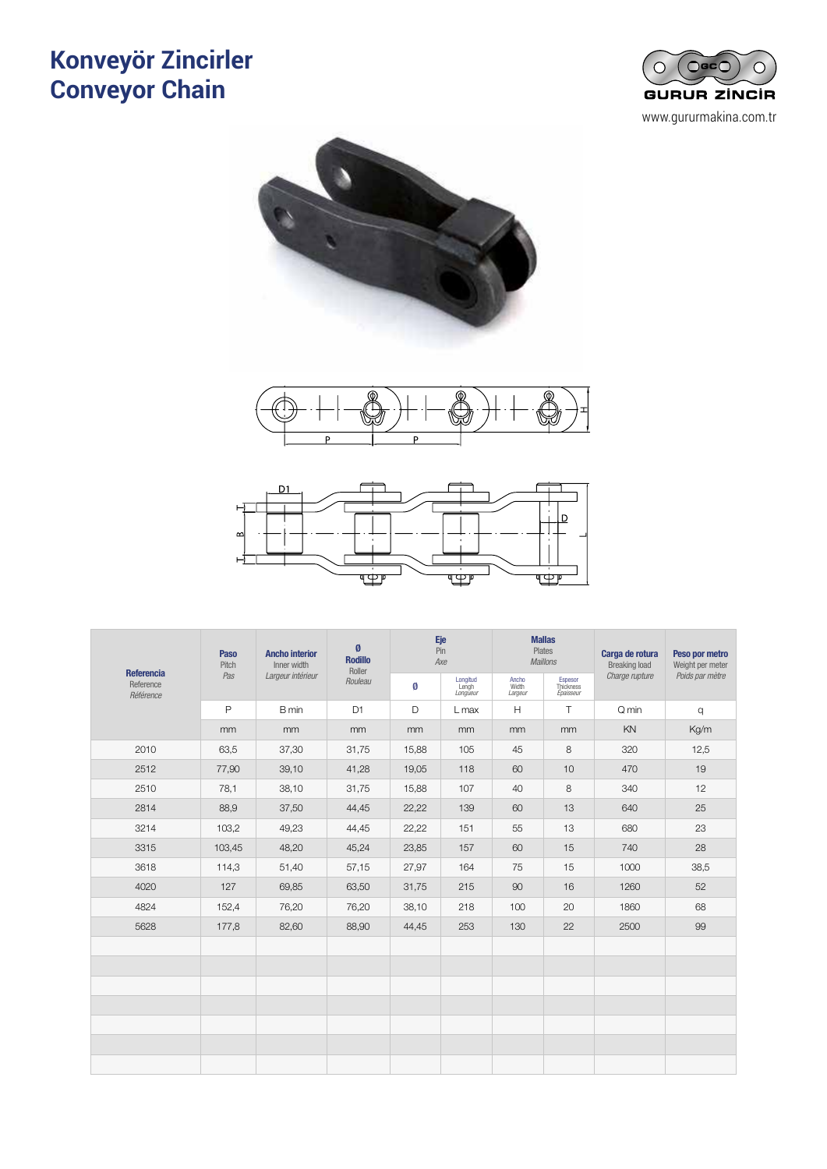## **Konveyör Zincirler Conveyor Chain** CADENAS DE ESLABONES ACODADOS <sup>73</sup> **Ivevor Zinc**









|                                      | Paso<br><b>Ancho interior</b><br>Inner width<br>Pitch |                   | Ø<br><b>Rodillo</b><br>Roller |       | Eje<br>Pin<br>Axe             |                           | <b>Mallas</b><br>Plates<br><b>Maillons</b> | Carga de rotura<br><b>Breaking load</b> | Peso por metro<br>Weight per meter |  |
|--------------------------------------|-------------------------------------------------------|-------------------|-------------------------------|-------|-------------------------------|---------------------------|--------------------------------------------|-----------------------------------------|------------------------------------|--|
| Referencia<br>Reference<br>Référence | Pas                                                   | Largeur intérieur | Rouleau                       | Ø     | Longitud<br>Lengh<br>Longueur | Ancho<br>Width<br>Largeur | Espesor<br>Thickness<br>Épaisseur          | Charge rupture                          | Poids par mètre                    |  |
|                                      | $\mathsf{P}$                                          | B min             | D <sub>1</sub>                | D     | L max                         | H                         | $\top$                                     | Q min                                   | q                                  |  |
|                                      | mm                                                    | mm                | mm                            | mm    | mm                            | mm                        | mm                                         | KN                                      | Kg/m                               |  |
| 2010                                 | 63,5                                                  | 37,30             | 31,75                         | 15,88 | 105                           | 45                        | 8                                          | 320                                     | 12,5                               |  |
| 2512                                 | 77,90                                                 | 39,10             | 41,28                         | 19,05 | 118                           | 60                        | 10                                         | 470                                     | 19                                 |  |
| 2510                                 | 78,1                                                  | 38,10             | 31,75                         | 15,88 | 107                           | 40                        | 8                                          | 340                                     | 12                                 |  |
| 2814                                 | 88,9                                                  | 37,50             | 44,45                         | 22,22 | 139                           | 60                        | 13                                         | 640                                     | 25                                 |  |
| 3214                                 | 103,2                                                 | 49,23             | 44,45                         | 22,22 | 151                           | 55                        | 13                                         | 680                                     | 23                                 |  |
| 3315                                 | 103,45                                                | 48,20             | 45,24                         | 23,85 | 157                           | 60                        | 15                                         | 740                                     | 28                                 |  |
| 3618                                 | 114,3                                                 | 51,40             | 57,15                         | 27,97 | 164                           | 75                        | 15                                         | 1000                                    | 38,5                               |  |
| 4020                                 | 127                                                   | 69,85             | 63,50                         | 31,75 | 215                           | 90                        | 16                                         | 1260                                    | 52                                 |  |
| 4824                                 | 152,4                                                 | 76,20             | 76,20                         | 38,10 | 218                           | 100                       | 20                                         | 1860                                    | 68                                 |  |
| 5628                                 | 177,8                                                 | 82,60             | 88,90                         | 44,45 | 253                           | 130                       | 22                                         | 2500                                    | 99                                 |  |
|                                      |                                                       |                   |                               |       |                               |                           |                                            |                                         |                                    |  |
|                                      |                                                       |                   |                               |       |                               |                           |                                            |                                         |                                    |  |
|                                      |                                                       |                   |                               |       |                               |                           |                                            |                                         |                                    |  |
|                                      |                                                       |                   |                               |       |                               |                           |                                            |                                         |                                    |  |
|                                      |                                                       |                   |                               |       |                               |                           |                                            |                                         |                                    |  |
|                                      |                                                       |                   |                               |       |                               |                           |                                            |                                         |                                    |  |
|                                      |                                                       |                   |                               |       |                               |                           |                                            |                                         |                                    |  |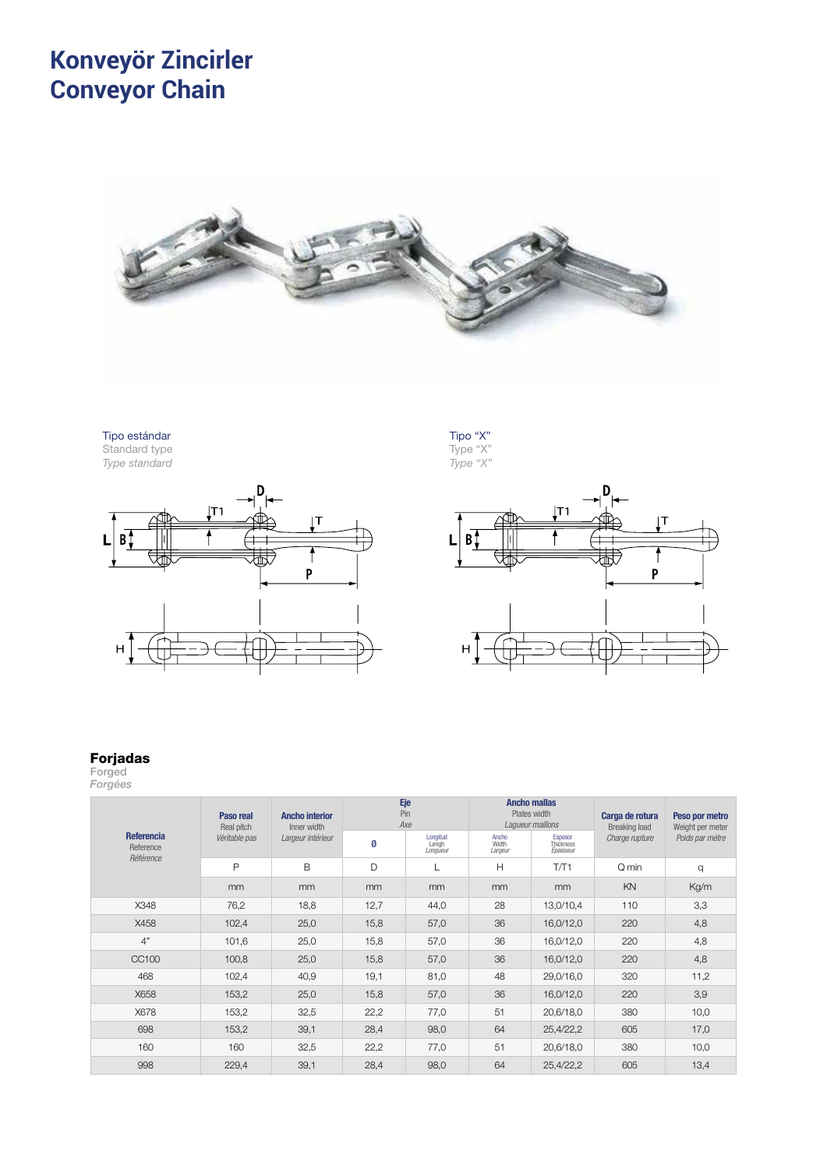## **Konveyör Zincirler Conveyor Chain** <sup>74</sup> CADENAS AÉREAS **Nevor Z**



Tipo "X" Type "X"

# Tipo estándar

Standard type *Type standard*





## Forjadas

Forged

| $\sim$<br>the control of the con-<br>$\sim$<br>$\sim$<br>$\sim$ |  |
|-----------------------------------------------------------------|--|
|                                                                 |  |

|                                             | Eje<br><b>Ancho mallas</b><br>Pin<br>Plates width<br>Paso real<br><b>Ancho interior</b><br>Axe<br>Laqueur maillons<br>Real pitch<br>Inner width<br>Longitud<br>Ancho<br>Espesor<br>Véritable pas<br>Largeur intérieur<br>Ø<br>Thickness<br>Width<br>Lengh<br>Épaisseur<br>Largeur<br>Longueur |      |      |                |                 |           | Carga de rotura<br><b>Breaking load</b> | Peso por metro<br>Weight per meter |  |
|---------------------------------------------|-----------------------------------------------------------------------------------------------------------------------------------------------------------------------------------------------------------------------------------------------------------------------------------------------|------|------|----------------|-----------------|-----------|-----------------------------------------|------------------------------------|--|
| <b>Referencia</b><br>Reference<br>Référence |                                                                                                                                                                                                                                                                                               |      |      | Charge rupture | Poids par mètre |           |                                         |                                    |  |
|                                             | P                                                                                                                                                                                                                                                                                             | B    | D    |                | H               | T/T1      | Q min                                   | q                                  |  |
|                                             | m <sub>m</sub>                                                                                                                                                                                                                                                                                | mm   | mm   | <sub>mm</sub>  | <sub>mm</sub>   | mm        | KN                                      | Kg/m                               |  |
| X348                                        | 76,2                                                                                                                                                                                                                                                                                          | 18,8 | 12,7 | 44,0           | 28              | 13,0/10,4 | 110                                     | 3,3                                |  |
| X458                                        | 102,4                                                                                                                                                                                                                                                                                         | 25,0 | 15,8 | 57,0           | 36              | 16,0/12,0 | 220                                     | 4,8                                |  |
| 4"                                          | 101,6                                                                                                                                                                                                                                                                                         | 25,0 | 15,8 | 57,0           | 36              | 16,0/12,0 | 220                                     | 4,8                                |  |
| CC100                                       | 100,8                                                                                                                                                                                                                                                                                         | 25,0 | 15,8 | 57,0           | 36              | 16,0/12,0 | 220                                     | 4,8                                |  |
| 468                                         | 102,4                                                                                                                                                                                                                                                                                         | 40,9 | 19,1 | 81,0           | 48              | 29,0/16,0 | 320                                     | 11,2                               |  |
| X658                                        | 153,2                                                                                                                                                                                                                                                                                         | 25,0 | 15,8 | 57,0           | 36              | 16,0/12,0 | 220                                     | 3,9                                |  |
| X678                                        | 153,2                                                                                                                                                                                                                                                                                         | 32,5 | 22,2 | 77,0           | 51              | 20,6/18,0 | 380                                     | 10,0                               |  |
| 698                                         | 153,2                                                                                                                                                                                                                                                                                         | 39,1 | 28,4 | 98,0           | 64              | 25,4/22,2 | 605                                     | 17,0                               |  |
| 160                                         | 160                                                                                                                                                                                                                                                                                           | 32,5 | 22,2 | 77,0           | 51              | 20,6/18,0 | 380                                     | 10,0                               |  |
| 998                                         | 229,4                                                                                                                                                                                                                                                                                         | 39,1 | 28,4 | 98,0           | 64              | 25,4/22,2 | 605                                     | 13,4                               |  |